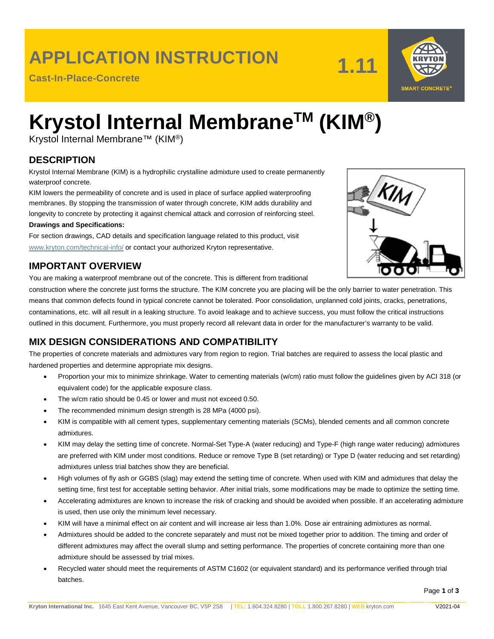### **APPLICATION INSTRUCTION**

**Cast-In-Place-Concrete**

**1.11**



# **Krystol Internal MembraneTM (KIM®)**

Krystol Internal Membrane™ (KIM®)

### **DESCRIPTION**

Krystol Internal Membrane (KIM) is a hydrophilic crystalline admixture used to create permanently waterproof concrete.

KIM lowers the permeability of concrete and is used in place of surface applied waterproofing membranes. By stopping the transmission of water through concrete, KIM adds durability and longevity to concrete by protecting it against chemical attack and corrosion of reinforcing steel.

#### **Drawings and Specifications:**

For section drawings, CAD details and specification language related to this product, visit [www.kryton.com/technical-info/](http://www.kryton.com/technical-info/) or contact your authorized Kryton representative.

#### **IMPORTANT OVERVIEW**

You are making a waterproof membrane out of the concrete. This is different from traditional

construction where the concrete just forms the structure. The KIM concrete you are placing will be the only barrier to water penetration. This means that common defects found in typical concrete cannot be tolerated. Poor consolidation, unplanned cold joints, cracks, penetrations, contaminations, etc. will all result in a leaking structure. To avoid leakage and to achieve success, you must follow the critical instructions outlined in this document. Furthermore, you must properly record all relevant data in order for the manufacturer's warranty to be valid.

### **MIX DESIGN CONSIDERATIONS AND COMPATIBILITY**

The properties of concrete materials and admixtures vary from region to region. Trial batches are required to assess the local plastic and hardened properties and determine appropriate mix designs.

- Proportion your mix to minimize shrinkage. Water to cementing materials (w/cm) ratio must follow the guidelines given by ACI 318 (or equivalent code) for the applicable exposure class.
- The w/cm ratio should be 0.45 or lower and must not exceed 0.50.
- The recommended minimum design strength is 28 MPa (4000 psi).
- KIM is compatible with all cement types, supplementary cementing materials (SCMs), blended cements and all common concrete admixtures.
- KIM may delay the setting time of concrete. Normal-Set Type-A (water reducing) and Type-F (high range water reducing) admixtures are preferred with KIM under most conditions. Reduce or remove Type B (set retarding) or Type D (water reducing and set retarding) admixtures unless trial batches show they are beneficial.
- High volumes of fly ash or GGBS (slag) may extend the setting time of concrete. When used with KIM and admixtures that delay the setting time, first test for acceptable setting behavior. After initial trials, some modifications may be made to optimize the setting time.
- Accelerating admixtures are known to increase the risk of cracking and should be avoided when possible. If an accelerating admixture is used, then use only the minimum level necessary.
- KIM will have a minimal effect on air content and will increase air less than 1.0%. Dose air entraining admixtures as normal.
- Admixtures should be added to the concrete separately and must not be mixed together prior to addition. The timing and order of different admixtures may affect the overall slump and setting performance. The properties of concrete containing more than one admixture should be assessed by trial mixes.
- Recycled water should meet the requirements of ASTM C1602 (or equivalent standard) and its performance verified through trial batches.

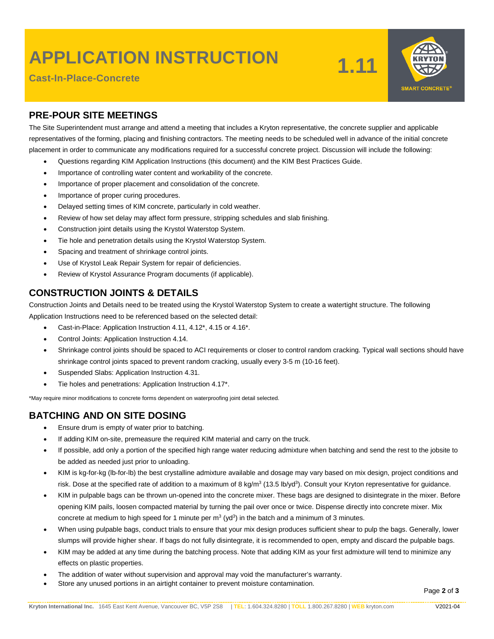# **APPLICATION INSTRUCTION**

**Cast-In-Place-Concrete**





#### **PRE-POUR SITE MEETINGS**

The Site Superintendent must arrange and attend a meeting that includes a Kryton representative, the concrete supplier and applicable representatives of the forming, placing and finishing contractors. The meeting needs to be scheduled well in advance of the initial concrete placement in order to communicate any modifications required for a successful concrete project. Discussion will include the following:

- Questions regarding KIM Application Instructions (this document) and the KIM Best Practices Guide.
- Importance of controlling water content and workability of the concrete.
- Importance of proper placement and consolidation of the concrete.
- Importance of proper curing procedures.
- Delayed setting times of KIM concrete, particularly in cold weather.
- Review of how set delay may affect form pressure, stripping schedules and slab finishing.
- Construction joint details using the Krystol Waterstop System.
- Tie hole and penetration details using the Krystol Waterstop System.
- Spacing and treatment of shrinkage control joints.
- Use of Krystol Leak Repair System for repair of deficiencies.
- Review of Krystol Assurance Program documents (if applicable).

#### **CONSTRUCTION JOINTS & DETAILS**

Construction Joints and Details need to be treated using the Krystol Waterstop System to create a watertight structure. The following Application Instructions need to be referenced based on the selected detail:

- Cast-in-Place: Application Instruction 4.11, 4.12\*, 4.15 or 4.16\*.
- Control Joints: Application Instruction 4.14.
- Shrinkage control joints should be spaced to ACI requirements or closer to control random cracking. Typical wall sections should have shrinkage control joints spaced to prevent random cracking, usually every 3-5 m (10-16 feet).
- Suspended Slabs: Application Instruction 4.31.
- Tie holes and penetrations: Application Instruction 4.17\*.

\*May require minor modifications to concrete forms dependent on waterproofing joint detail selected.

#### **BATCHING AND ON SITE DOSING**

- Ensure drum is empty of water prior to batching.
- If adding KIM on-site, premeasure the required KIM material and carry on the truck.
- If possible, add only a portion of the specified high range water reducing admixture when batching and send the rest to the jobsite to be added as needed just prior to unloading.
- KIM is kg-for-kg (lb-for-lb) the best crystalline admixture available and dosage may vary based on mix design, project conditions and risk. Dose at the specified rate of addition to a maximum of 8 kg/m<sup>3</sup> (13.5 lb/yd<sup>3</sup>). Consult your Kryton representative for guidance.
- KIM in pulpable bags can be thrown un-opened into the concrete mixer. These bags are designed to disintegrate in the mixer. Before opening KIM pails, loosen compacted material by turning the pail over once or twice. Dispense directly into concrete mixer. Mix concrete at medium to high speed for 1 minute per  $m<sup>3</sup> (yd<sup>3</sup>)$  in the batch and a minimum of 3 minutes.
- When using pulpable bags, conduct trials to ensure that your mix design produces sufficient shear to pulp the bags. Generally, lower slumps will provide higher shear. If bags do not fully disintegrate, it is recommended to open, empty and discard the pulpable bags.
- KIM may be added at any time during the batching process. Note that adding KIM as your first admixture will tend to minimize any effects on plastic properties.
- The addition of water without supervision and approval may void the manufacturer's warranty.
- Store any unused portions in an airtight container to prevent moisture contamination.